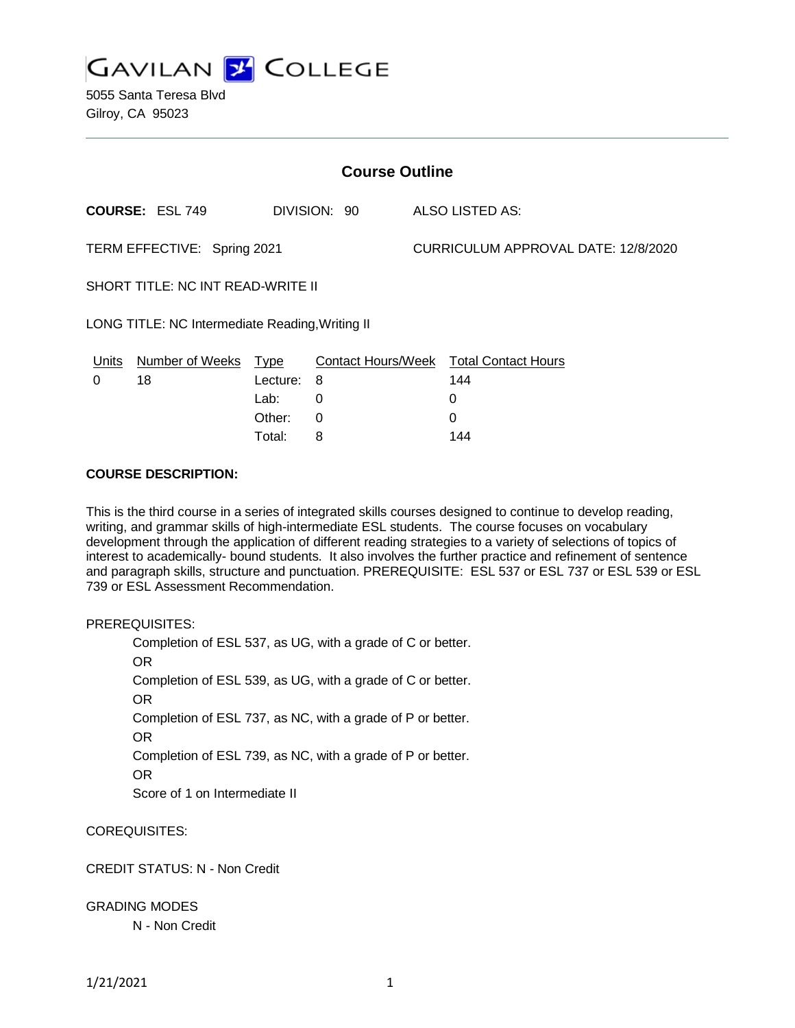

5055 Santa Teresa Blvd Gilroy, CA 95023

| <b>Course Outline</b>                           |                        |              |   |                           |                                     |                            |
|-------------------------------------------------|------------------------|--------------|---|---------------------------|-------------------------------------|----------------------------|
|                                                 | COURSE: ESL 749        | DIVISION: 90 |   |                           |                                     | ALSO LISTED AS:            |
| TERM EFFECTIVE: Spring 2021                     |                        |              |   |                           | CURRICULUM APPROVAL DATE: 12/8/2020 |                            |
| SHORT TITLE: NC INT READ-WRITE II               |                        |              |   |                           |                                     |                            |
| LONG TITLE: NC Intermediate Reading, Writing II |                        |              |   |                           |                                     |                            |
| Units                                           | <b>Number of Weeks</b> | <u>Type</u>  |   | <b>Contact Hours/Week</b> |                                     | <b>Total Contact Hours</b> |
| 0                                               | 18                     | Lecture:     | 8 |                           |                                     | 144                        |
|                                                 |                        | Lab:         | 0 |                           |                                     | 0                          |
|                                                 |                        | Other:       | 0 |                           |                                     | $\Omega$                   |

Total: 8 144

#### **COURSE DESCRIPTION:**

This is the third course in a series of integrated skills courses designed to continue to develop reading, writing, and grammar skills of high-intermediate ESL students. The course focuses on vocabulary development through the application of different reading strategies to a variety of selections of topics of interest to academically- bound students. It also involves the further practice and refinement of sentence and paragraph skills, structure and punctuation. PREREQUISITE: ESL 537 or ESL 737 or ESL 539 or ESL 739 or ESL Assessment Recommendation.

PREREQUISITES:

Completion of ESL 537, as UG, with a grade of C or better. OR Completion of ESL 539, as UG, with a grade of C or better. OR Completion of ESL 737, as NC, with a grade of P or better. OR Completion of ESL 739, as NC, with a grade of P or better. OR Score of 1 on Intermediate II

COREQUISITES:

CREDIT STATUS: N - Non Credit

GRADING MODES

N - Non Credit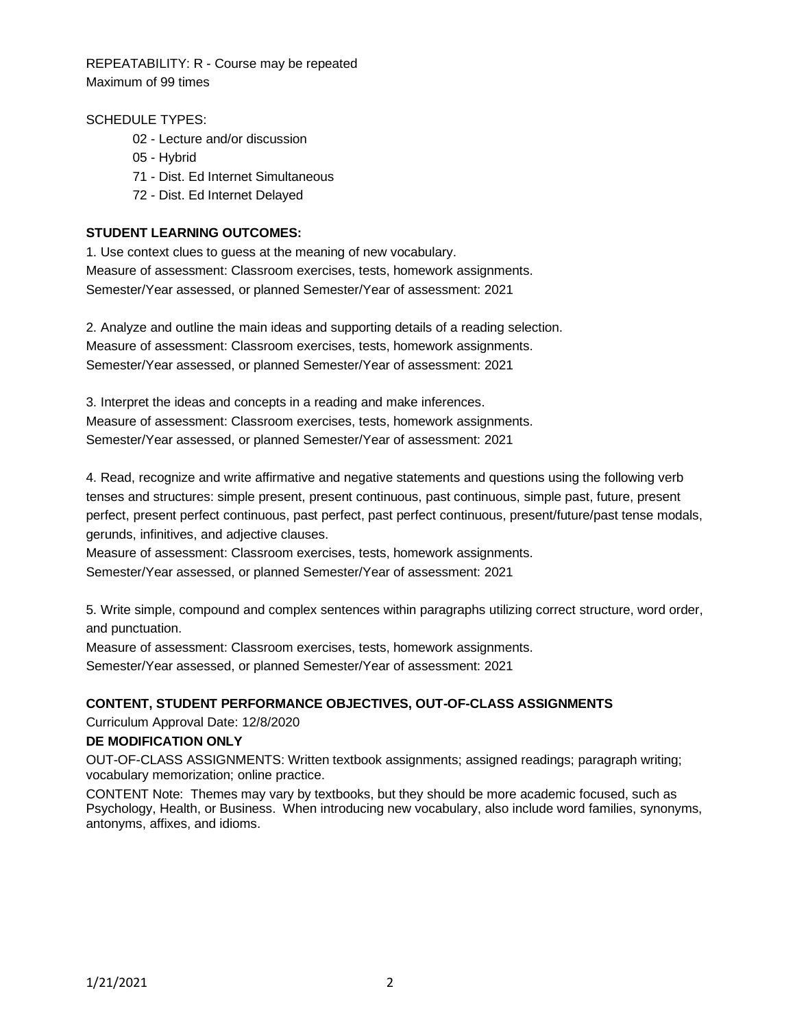REPEATABILITY: R - Course may be repeated Maximum of 99 times

# SCHEDULE TYPES:

- 02 Lecture and/or discussion
- 05 Hybrid
- 71 Dist. Ed Internet Simultaneous
- 72 Dist. Ed Internet Delayed

### **STUDENT LEARNING OUTCOMES:**

1. Use context clues to guess at the meaning of new vocabulary. Measure of assessment: Classroom exercises, tests, homework assignments. Semester/Year assessed, or planned Semester/Year of assessment: 2021

2. Analyze and outline the main ideas and supporting details of a reading selection. Measure of assessment: Classroom exercises, tests, homework assignments. Semester/Year assessed, or planned Semester/Year of assessment: 2021

3. Interpret the ideas and concepts in a reading and make inferences. Measure of assessment: Classroom exercises, tests, homework assignments. Semester/Year assessed, or planned Semester/Year of assessment: 2021

4. Read, recognize and write affirmative and negative statements and questions using the following verb tenses and structures: simple present, present continuous, past continuous, simple past, future, present perfect, present perfect continuous, past perfect, past perfect continuous, present/future/past tense modals, gerunds, infinitives, and adjective clauses.

Measure of assessment: Classroom exercises, tests, homework assignments. Semester/Year assessed, or planned Semester/Year of assessment: 2021

5. Write simple, compound and complex sentences within paragraphs utilizing correct structure, word order, and punctuation.

Measure of assessment: Classroom exercises, tests, homework assignments. Semester/Year assessed, or planned Semester/Year of assessment: 2021

# **CONTENT, STUDENT PERFORMANCE OBJECTIVES, OUT-OF-CLASS ASSIGNMENTS**

Curriculum Approval Date: 12/8/2020

### **DE MODIFICATION ONLY**

OUT-OF-CLASS ASSIGNMENTS: Written textbook assignments; assigned readings; paragraph writing; vocabulary memorization; online practice.

CONTENT Note: Themes may vary by textbooks, but they should be more academic focused, such as Psychology, Health, or Business. When introducing new vocabulary, also include word families, synonyms, antonyms, affixes, and idioms.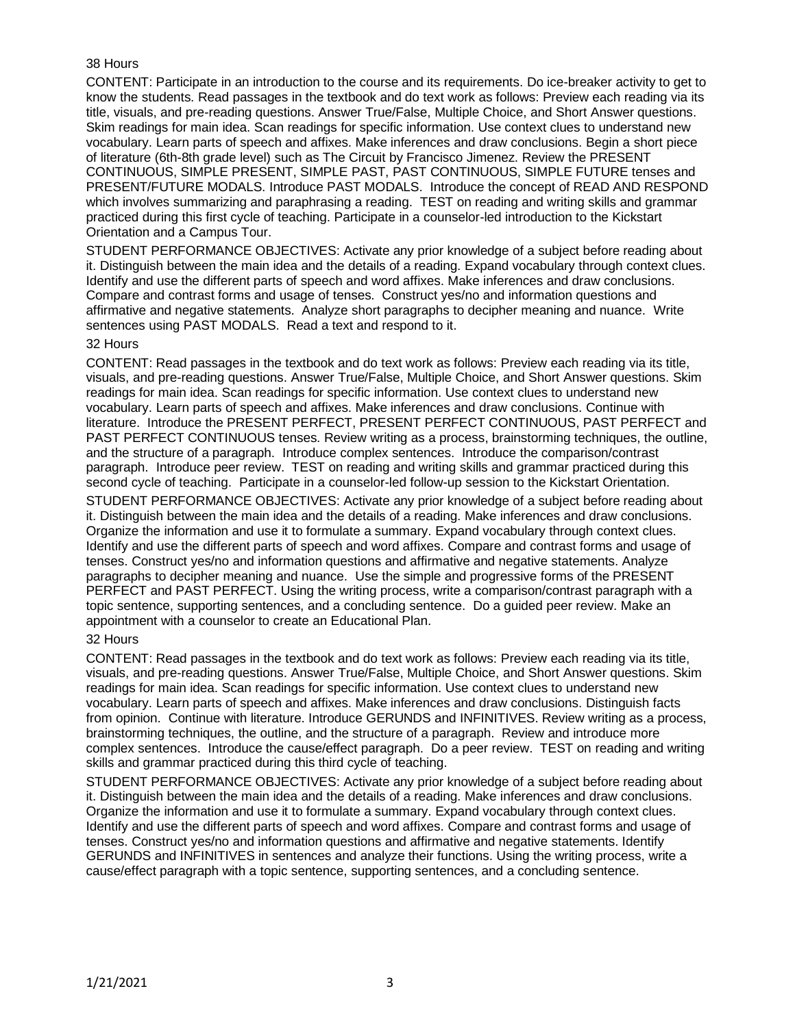### 38 Hours

CONTENT: Participate in an introduction to the course and its requirements. Do ice-breaker activity to get to know the students. Read passages in the textbook and do text work as follows: Preview each reading via its title, visuals, and pre-reading questions. Answer True/False, Multiple Choice, and Short Answer questions. Skim readings for main idea. Scan readings for specific information. Use context clues to understand new vocabulary. Learn parts of speech and affixes. Make inferences and draw conclusions. Begin a short piece of literature (6th-8th grade level) such as The Circuit by Francisco Jimenez. Review the PRESENT CONTINUOUS, SIMPLE PRESENT, SIMPLE PAST, PAST CONTINUOUS, SIMPLE FUTURE tenses and PRESENT/FUTURE MODALS. Introduce PAST MODALS. Introduce the concept of READ AND RESPOND which involves summarizing and paraphrasing a reading. TEST on reading and writing skills and grammar practiced during this first cycle of teaching. Participate in a counselor-led introduction to the Kickstart Orientation and a Campus Tour.

STUDENT PERFORMANCE OBJECTIVES: Activate any prior knowledge of a subject before reading about it. Distinguish between the main idea and the details of a reading. Expand vocabulary through context clues. Identify and use the different parts of speech and word affixes. Make inferences and draw conclusions. Compare and contrast forms and usage of tenses. Construct yes/no and information questions and affirmative and negative statements. Analyze short paragraphs to decipher meaning and nuance. Write sentences using PAST MODALS. Read a text and respond to it.

#### 32 Hours

CONTENT: Read passages in the textbook and do text work as follows: Preview each reading via its title, visuals, and pre-reading questions. Answer True/False, Multiple Choice, and Short Answer questions. Skim readings for main idea. Scan readings for specific information. Use context clues to understand new vocabulary. Learn parts of speech and affixes. Make inferences and draw conclusions. Continue with literature. Introduce the PRESENT PERFECT, PRESENT PERFECT CONTINUOUS, PAST PERFECT and PAST PERFECT CONTINUOUS tenses. Review writing as a process, brainstorming techniques, the outline, and the structure of a paragraph. Introduce complex sentences. Introduce the comparison/contrast paragraph. Introduce peer review. TEST on reading and writing skills and grammar practiced during this second cycle of teaching. Participate in a counselor-led follow-up session to the Kickstart Orientation.

STUDENT PERFORMANCE OBJECTIVES: Activate any prior knowledge of a subject before reading about it. Distinguish between the main idea and the details of a reading. Make inferences and draw conclusions. Organize the information and use it to formulate a summary. Expand vocabulary through context clues. Identify and use the different parts of speech and word affixes. Compare and contrast forms and usage of tenses. Construct yes/no and information questions and affirmative and negative statements. Analyze paragraphs to decipher meaning and nuance. Use the simple and progressive forms of the PRESENT PERFECT and PAST PERFECT. Using the writing process, write a comparison/contrast paragraph with a topic sentence, supporting sentences, and a concluding sentence. Do a guided peer review. Make an appointment with a counselor to create an Educational Plan.

### 32 Hours

CONTENT: Read passages in the textbook and do text work as follows: Preview each reading via its title, visuals, and pre-reading questions. Answer True/False, Multiple Choice, and Short Answer questions. Skim readings for main idea. Scan readings for specific information. Use context clues to understand new vocabulary. Learn parts of speech and affixes. Make inferences and draw conclusions. Distinguish facts from opinion. Continue with literature. Introduce GERUNDS and INFINITIVES. Review writing as a process, brainstorming techniques, the outline, and the structure of a paragraph. Review and introduce more complex sentences. Introduce the cause/effect paragraph. Do a peer review. TEST on reading and writing skills and grammar practiced during this third cycle of teaching.

STUDENT PERFORMANCE OBJECTIVES: Activate any prior knowledge of a subject before reading about it. Distinguish between the main idea and the details of a reading. Make inferences and draw conclusions. Organize the information and use it to formulate a summary. Expand vocabulary through context clues. Identify and use the different parts of speech and word affixes. Compare and contrast forms and usage of tenses. Construct yes/no and information questions and affirmative and negative statements. Identify GERUNDS and INFINITIVES in sentences and analyze their functions. Using the writing process, write a cause/effect paragraph with a topic sentence, supporting sentences, and a concluding sentence.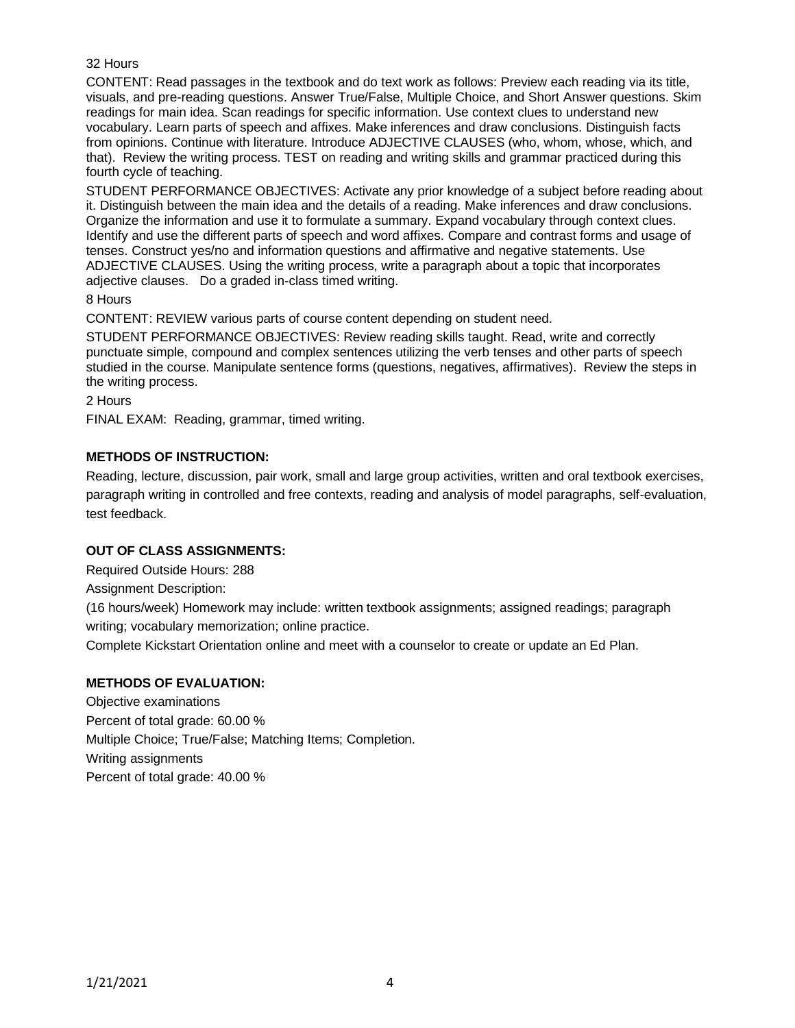### 32 Hours

CONTENT: Read passages in the textbook and do text work as follows: Preview each reading via its title, visuals, and pre-reading questions. Answer True/False, Multiple Choice, and Short Answer questions. Skim readings for main idea. Scan readings for specific information. Use context clues to understand new vocabulary. Learn parts of speech and affixes. Make inferences and draw conclusions. Distinguish facts from opinions. Continue with literature. Introduce ADJECTIVE CLAUSES (who, whom, whose, which, and that). Review the writing process. TEST on reading and writing skills and grammar practiced during this fourth cycle of teaching.

STUDENT PERFORMANCE OBJECTIVES: Activate any prior knowledge of a subject before reading about it. Distinguish between the main idea and the details of a reading. Make inferences and draw conclusions. Organize the information and use it to formulate a summary. Expand vocabulary through context clues. Identify and use the different parts of speech and word affixes. Compare and contrast forms and usage of tenses. Construct yes/no and information questions and affirmative and negative statements. Use ADJECTIVE CLAUSES. Using the writing process, write a paragraph about a topic that incorporates adjective clauses. Do a graded in-class timed writing.

8 Hours

CONTENT: REVIEW various parts of course content depending on student need.

STUDENT PERFORMANCE OBJECTIVES: Review reading skills taught. Read, write and correctly punctuate simple, compound and complex sentences utilizing the verb tenses and other parts of speech studied in the course. Manipulate sentence forms (questions, negatives, affirmatives). Review the steps in the writing process.

2 Hours

FINAL EXAM: Reading, grammar, timed writing.

# **METHODS OF INSTRUCTION:**

Reading, lecture, discussion, pair work, small and large group activities, written and oral textbook exercises, paragraph writing in controlled and free contexts, reading and analysis of model paragraphs, self-evaluation, test feedback.

### **OUT OF CLASS ASSIGNMENTS:**

Required Outside Hours: 288

Assignment Description:

(16 hours/week) Homework may include: written textbook assignments; assigned readings; paragraph writing; vocabulary memorization; online practice.

Complete Kickstart Orientation online and meet with a counselor to create or update an Ed Plan.

### **METHODS OF EVALUATION:**

Objective examinations Percent of total grade: 60.00 % Multiple Choice; True/False; Matching Items; Completion. Writing assignments Percent of total grade: 40.00 %